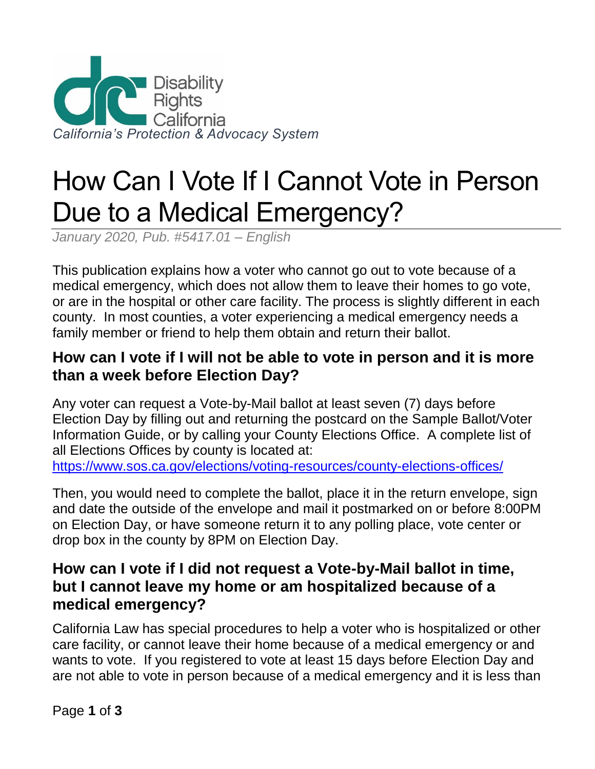

# How Can I Vote If I Cannot Vote in Person Due to a Medical Emergency?

*January 2020, Pub. #5417.01 – English* 

This publication explains how a voter who cannot go out to vote because of a medical emergency, which does not allow them to leave their homes to go vote, or are in the hospital or other care facility. The process is slightly different in each county. In most counties, a voter experiencing a medical emergency needs a family member or friend to help them obtain and return their ballot.

#### **How can I vote if I will not be able to vote in person and it is more than a week before Election Day?**

Any voter can request a Vote-by-Mail ballot at least seven (7) days before Election Day by filling out and returning the postcard on the Sample Ballot/Voter Information Guide, or by calling your County Elections Office. A complete list of all Elections Offices by county is located at:

<https://www.sos.ca.gov/elections/voting-resources/county-elections-offices/>

Then, you would need to complete the ballot, place it in the return envelope, sign and date the outside of the envelope and mail it postmarked on or before 8:00PM on Election Day, or have someone return it to any polling place, vote center or drop box in the county by 8PM on Election Day.

### **How can I vote if I did not request a Vote-by-Mail ballot in time, but I cannot leave my home or am hospitalized because of a medical emergency?**

California Law has special procedures to help a voter who is hospitalized or other care facility, or cannot leave their home because of a medical emergency or and wants to vote. If you registered to vote at least 15 days before Election Day and are not able to vote in person because of a medical emergency and it is less than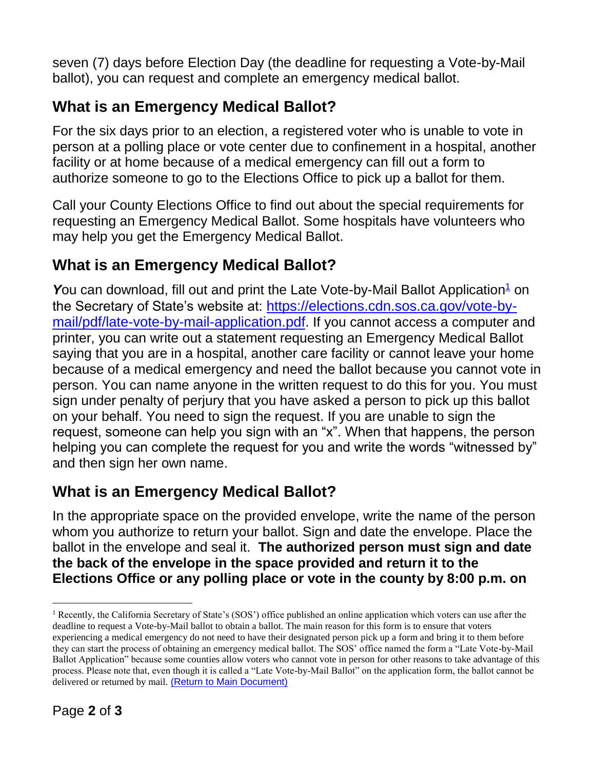seven (7) days before Election Day (the deadline for requesting a Vote-by-Mail ballot), you can request and complete an emergency medical ballot.

# **What is an Emergency Medical Ballot?**

For the six days prior to an election, a registered voter who is unable to vote in person at a polling place or vote center due to confinement in a hospital, another facility or at home because of a medical emergency can fill out a form to authorize someone to go to the Elections Office to pick up a ballot for them.

Call your County Elections Office to find out about the special requirements for requesting an Emergency Medical Ballot. Some hospitals have volunteers who may help you get the Emergency Medical Ballot.

## **What is an Emergency Medical Ballot?**

**Y**ou can download, fill out and print the Late Vote-by-Mail Ballot Application<sup>[1](file:///C:/Users/Alyssa/AppData/Local/Microsoft/Windows/INetCache/Content.Outlook/VW302VOF/Updated%20541701.docx%23footnote1)</sup> on the Secretary of State's website at: [https://elections.cdn.sos.ca.gov/vote-by](https://elections.cdn.sos.ca.gov/vote-by-mail/pdf/late-vote-by-mail-application.pdf)[mail/pdf/late-vote-by-mail-application.pdf](https://elections.cdn.sos.ca.gov/vote-by-mail/pdf/late-vote-by-mail-application.pdf). If you cannot access a computer and printer, you can write out a statement requesting an Emergency Medical Ballot saying that you are in a hospital, another care facility or cannot leave your home because of a medical emergency and need the ballot because you cannot vote in person. You can name anyone in the written request to do this for you. You must sign under penalty of perjury that you have asked a person to pick up this ballot on your behalf. You need to sign the request. If you are unable to sign the request, someone can help you sign with an "x". When that happens, the person helping you can complete the request for you and write the words "witnessed by" and then sign her own name.

# **What is an Emergency Medical Ballot?**

In the appropriate space on the provided envelope, write the name of the person whom you authorize to return your ballot. Sign and date the envelope. Place the ballot in the envelope and seal it. **The authorized person must sign and date the back of the envelope in the space provided and return it to the Elections Office or any polling place or vote in the county by 8:00 p.m. on** 

l

<sup>1</sup> Recently, the California Secretary of State's (SOS') office published an online application which voters can use after the deadline to request a Vote-by-Mail ballot to obtain a ballot. The main reason for this form is to ensure that voters experiencing a medical emergency do not need to have their designated person pick up a form and bring it to them before they can start the process of obtaining an emergency medical ballot. The SOS' office named the form a "Late Vote-by-Mail Ballot Application" because some counties allow voters who cannot vote in person for other reasons to take advantage of this process. Please note that, even though it is called a "Late Vote-by-Mail Ballot" on the application form, the ballot cannot be delivered or returned by mail. [\(Return to Main Document\)](file:///C:/Users/Alyssa/AppData/Local/Microsoft/Windows/INetCache/Content.Outlook/VW302VOF/Updated%20541701.docx%23footnote2)